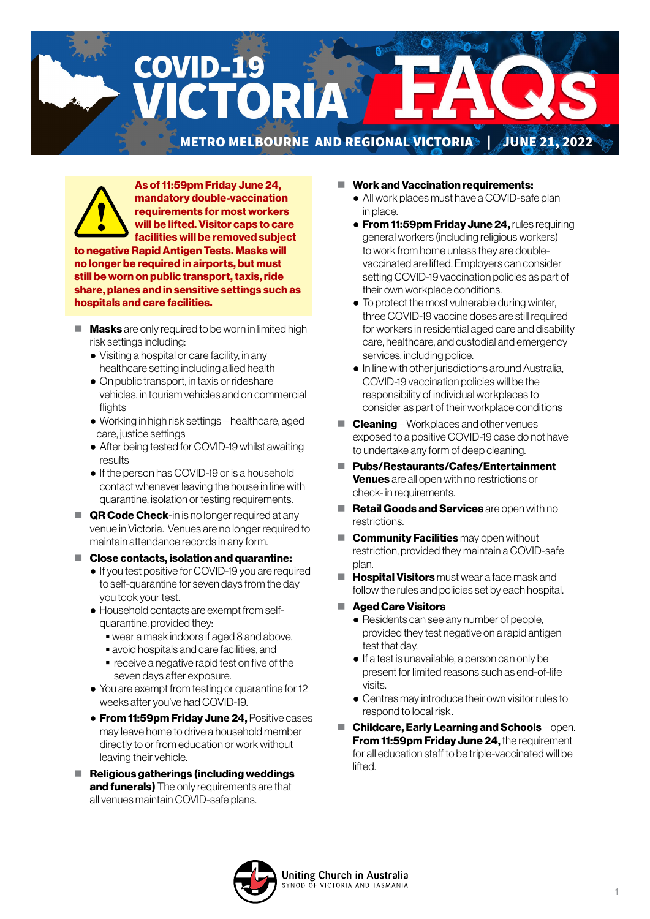**COVID-19** CTORI METRO MELBOURNE AND REGIONAL VICTORIA | JUNE 21, 2022



As of 11:59pm Friday June 24, mandatory double-vaccination requirements for most workers will be lifted. Visitor caps to care facilities will be removed subject

to negative Rapid Antigen Tests. Masks will no longer be required in airports, but must still be worn on public transport, taxis, ride share, planes and in sensitive settings such as hospitals and care facilities.

- $\blacksquare$  **Masks** are only required to be worn in limited high risk settings including:
	- Visiting a hospital or care facility, in any healthcare setting including allied health
	- On public transport, in taxis or rideshare vehicles, in tourism vehicles and on commercial flights
	- Working in high risk settings healthcare, aged care, justice settings
	- After being tested for COVID-19 whilst awaiting results
	- If the person has COVID-19 or is a household contact whenever leaving the house in line with quarantine, isolation or testing requirements.
- $\blacksquare$  QR Code Check-in is no longer required at any venue in Victoria. Venues are no longer required to maintain attendance records in any form.
- Close contacts, isolation and quarantine:
	- If you test positive for COVID-19 you are required to self-quarantine for seven days from the day you took your test.
	- Household contacts are exempt from selfquarantine, provided they:
		- wear a mask indoors if aged 8 and above,
		- avoid hospitals and care facilities, and
		- **•** receive a negative rapid test on five of the seven days after exposure.
	- You are exempt from testing or quarantine for 12 weeks after you've had COVID-19.
	- **From 11:59pm Friday June 24, Positive cases** may leave home to drive a household member directly to or from education or work without leaving their vehicle.
- $\blacksquare$  Religious gatherings (including weddings and funerals) The only requirements are that all venues maintain COVID-safe plans.
- Work and Vaccination requirements:
	- All work places must have a COVID-safe plan in place.
	- **From 11:59pm Friday June 24, rules requiring** general workers (including religious workers) to work from home unless they are doublevaccinated are lifted. Employers can consider setting COVID-19 vaccination policies as part of their own workplace conditions.
	- To protect the most vulnerable during winter, three COVID-19 vaccine doses are still required for workers in residential aged care and disability care, healthcare, and custodial and emergency services, including police.
	- In line with other jurisdictions around Australia, COVID-19 vaccination policies will be the responsibility of individual workplaces to consider as part of their workplace conditions
- **Cleaning** Workplaces and other venues exposed to a positive COVID-19 case do not have to undertake any form of deep cleaning.
- Pubs/Restaurants/Cafes/Entertainment Venues are all open with no restrictions or check- in requirements.
- Retail Goods and Services are open with no restrictions.
- $\blacksquare$  **Community Facilities** may open without restriction, provided they maintain a COVID-safe plan.
- **Hospital Visitors** must wear a face mask and follow the rules and policies set by each hospital.
- Aged Care Visitors
	- Residents can see any number of people, provided they test negative on a rapid antigen test that day.
	- If a test is unavailable, a person can only be present for limited reasons such as end-of-life visits.
	- Centres may introduce their own visitor rules to respond to local risk.
- Childcare, Early Learning and Schools open. **From 11:59pm Friday June 24, the requirement** for all education staff to be triple-vaccinated will be lifted.

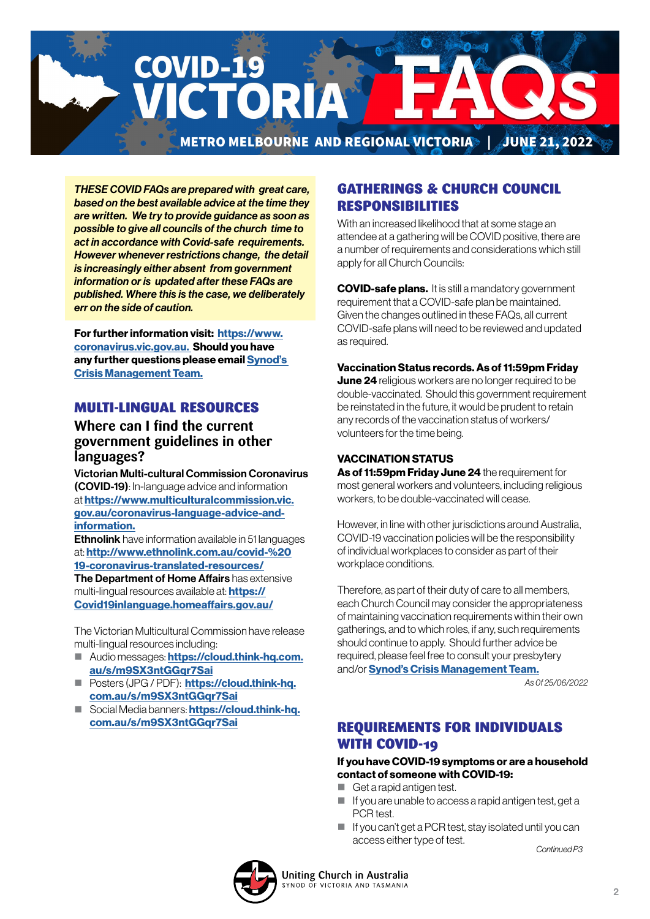

*THESE COVID FAQs are prepared with great care, based on the best available advice at the time they are written. We try to provide guidance as soon as possible to give all councils of the church time to act in accordance with Covid-safe requirements. However whenever restrictions change, the detail is increasingly either absent from government information or is updated after these FAQs are published. Where this is the case, we deliberately err on the side of caution.*

For further information visit: [https://www.](https://www.coronavirus.vic.gov.au) [coronavirus.vic.gov.au.](https://www.coronavirus.vic.gov.au) Should you have any further questions please email [Synod's](mailto:CrisisManagement%40victas.uca.org.au?subject=)  [Crisis Management Team.](mailto:CrisisManagement%40victas.uca.org.au?subject=)

### MULTI-LINGUAL RESOURCES

## **Where can I find the current government guidelines in other languages?**

Victorian Multi-cultural Commission Coronavirus (COVID-19): In-language advice and information at [https://www.multiculturalcommission.vic.](https://www.multiculturalcommission.vic.gov.au/coronavirus-language-advice-and-information) [gov.au/coronavirus-language-advice-and](https://www.multiculturalcommission.vic.gov.au/coronavirus-language-advice-and-information)[information.](https://www.multiculturalcommission.vic.gov.au/coronavirus-language-advice-and-information)

**Ethnolink** have information available in 51 languages at: [http://www.ethnolink.com.au/covid-%20](http://www.ethnolink.com.au/covid-%2019-coronavirus-translated-resources/) [19-coronavirus-translated-resources/](http://www.ethnolink.com.au/covid-%2019-coronavirus-translated-resources/) The Department of Home Affairs has extensive

multi-lingual resources available at: **[https://](https://Covid19inlanguage.homeaffairs.gov.au/)** [Covid19inlanguage.homeaffairs.gov.au/](https://Covid19inlanguage.homeaffairs.gov.au/)

The Victorian Multicultural Commission have release multi-lingual resources including:

- Audio messages: [https://cloud.think-hq.com.](https://cloud.think-hq.com.au/s/m9SX3ntGGqr7Sai) [au/s/m9SX3ntGGqr7Sai](https://cloud.think-hq.com.au/s/m9SX3ntGGqr7Sai)
- **Posters (JPG / PDF): [https://cloud.think-hq.](https://cloud.think-hq.com.au/s/m9SX3ntGGqr7Sai)** [com.au/s/m9SX3ntGGqr7Sai](https://cloud.think-hq.com.au/s/m9SX3ntGGqr7Sai)
- Social Media banners: [https://cloud.think-hq.](https://cloud.think-hq.com.au/s/m9SX3ntGGqr7Sai) [com.au/s/m9SX3ntGGqr7Sai](https://cloud.think-hq.com.au/s/m9SX3ntGGqr7Sai)

## GATHERINGS & CHURCH COUNCIL RESPONSIBILITIES

With an increased likelihood that at some stage an attendee at a gathering will be COVID positive, there are a number of requirements and considerations which still apply for all Church Councils:

**COVID-safe plans.** It is still a mandatory government requirement that a COVID-safe plan be maintained. Given the changes outlined in these FAQs, all current COVID-safe plans will need to be reviewed and updated as required.

#### Vaccination Status records.As of 11:59pm Friday

**June 24** religious workers are no longer required to be double-vaccinated. Should this government requirement be reinstated in the future, it would be prudent to retain any records of the vaccination status of workers/ volunteers for the time being.

#### VACCINATION STATUS

As of 11:59pm Friday June 24 the requirement for most general workers and volunteers, including religious workers, to be double-vaccinated will cease.

However, in line with other jurisdictions around Australia, COVID-19 vaccination policies will be the responsibility of individual workplaces to consider as part of their workplace conditions.

Therefore, as part of their duty of care to all members, each Church Council may consider the appropriateness of maintaining vaccination requirements within their own gatherings, and to which roles, if any, such requirements should continue to apply. Should further advice be required, please feel free to consult your presbytery and/or [Synod's Crisis Management Team.](mailto:Crisis.Management%40victas.uca.org.au?subject=)

*As 0f 25/06/2022*

## REQUIREMENTS FOR INDIVIDUALS WITH COVID-19

#### If you have COVID-19 symptoms or are a household contact of someone with COVID-19:

- Get a rapid antigen test.
- $\blacksquare$  If you are unable to access a rapid antigen test, get a PCR test.
- $\blacksquare$  If you can't get a PCR test, stay isolated until you can access either type of test.

*Continued P3*

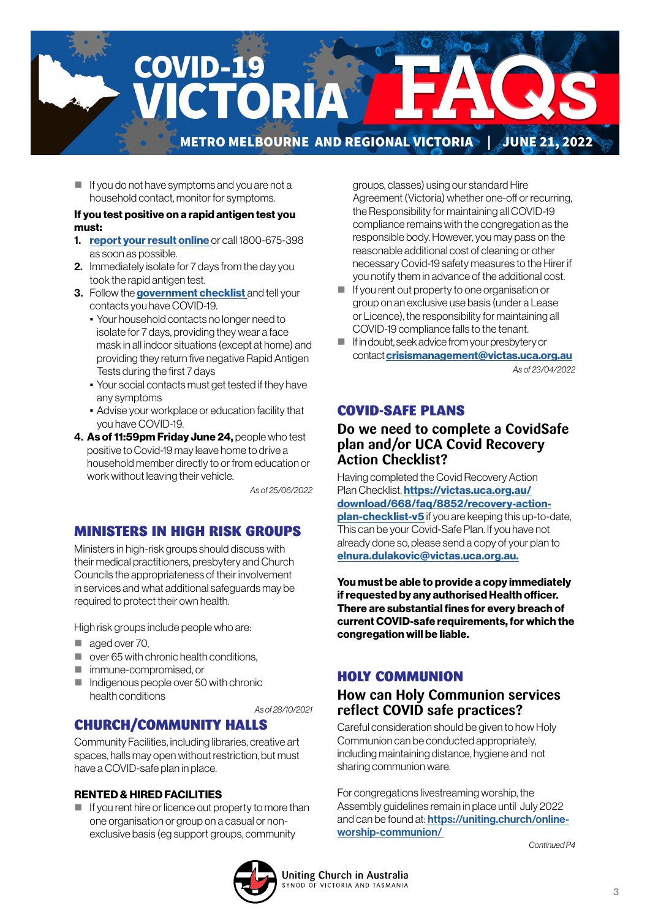

 $\blacksquare$  If you do not have symptoms and you are not a household contact, monitor for symptoms.

#### If you test positive on a rapid antigen test you must:

- 1. [report your result online](https://www.coronavirus.vic.gov.au/node/22270) or call 1800-675-398 as soon as possible.
- 2. Immediately isolate for 7 days from the day you took the rapid antigen test.
- 3. Follow the [government checklist]( https://www.coronavirus.vic.gov.au/checklist) and tell your contacts you have COVID-19.
	- Your household contacts no longer need to isolate for 7 days, providing they wear a face mask in all indoor situations (except at home) and providing they return five negative Rapid Antigen Tests during the first 7 days
	- Your social contacts must get tested if they have any symptoms
	- Advise your workplace or education facility that you have COVID-19.
- 4. As of 11:59pm Friday June 24, people who test positive to Covid-19 may leave home to drive a household member directly to or from education or work without leaving their vehicle.

*As of 25/06/2022*

### MINISTERS IN HIGH RISK GROUPS

Ministers in high-risk groups should discuss with their medical practitioners, presbytery and Church Councils the appropriateness of their involvement in services and what additional safeguards may be required to protect their own health.

High risk groups include people who are:

- aged over 70.
- $\Box$  over 65 with chronic health conditions.
- immune-compromised, or
- $\blacksquare$  Indigenous people over 50 with chronic health conditions

*As of 28/10/2021*

### CHURCH/COMMUNITY HALLS

Community Facilities, including libraries, creative art spaces, halls may open without restriction, but must have a COVID-safe plan in place.

#### RENTED & HIRED FACILITIES

 $\blacksquare$  If you rent hire or licence out property to more than one organisation or group on a casual or nonexclusive basis (eg support groups, community

groups, classes) using our standard Hire Agreement (Victoria) whether one-off or recurring, the Responsibility for maintaining all COVID-19 compliance remains with the congregation as the responsible body. However, you may pass on the reasonable additional cost of cleaning or other necessary Covid-19 safety measures to the Hirer if you notify them in advance of the additional cost.

- If you rent out property to one organisation or group on an exclusive use basis (under a Lease or Licence), the responsibility for maintaining all COVID-19 compliance falls to the tenant.
- If in doubt, seek advice from your presbytery or contact [crisismanagement@victas.uca.org.au](mailto:crisismanagement%40victas.uca.org.au%20?subject=) *As of 23/04/2022*

#### COVID-SAFE PLANS

## **Do we need to complete a CovidSafe plan and/or UCA Covid Recovery Action Checklist?**

Having completed the Covid Recovery Action Plan Checklist, [https://victas.uca.org.au/](https://victas.uca.org.au/download/668/faq/8852/recovery-action-plan-checklist-v5) [download/668/faq/8852/recovery-action](https://victas.uca.org.au/download/668/faq/8852/recovery-action-plan-checklist-v5)[plan-checklist-v5](https://victas.uca.org.au/download/668/faq/8852/recovery-action-plan-checklist-v5) if you are keeping this up-to-date, This can be your Covid-Safe Plan. If you have not already done so, please send a copy of your plan to [elnura.dulakovic@victas.uca.org.au.](mailto:elnura.dulakovic%40victas.uca.org.au.?subject=)

You must be able to provide a copy immediately if requested by any authorised Health officer. There are substantial fines for every breach of current COVID-safe requirements, for which the congregation will be liable.

## HOLY COMMUNION

## **How can Holy Communion services reflect COVID safe practices?**

Careful consideration should be given to how Holy Communion can be conducted appropriately, including maintaining distance, hygiene and not sharing communion ware.

For congregations livestreaming worship, the Assembly guidelines remain in place until July 2022 and can be found at: [https://uniting.church/online](https://uniting.church/online-worship-communion/)[worship-communion/](https://uniting.church/online-worship-communion/) 

*Continued P4*